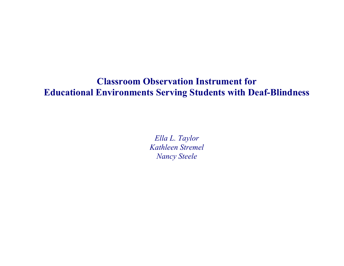*Ella L. Taylor Kathleen Stremel Nancy Steele*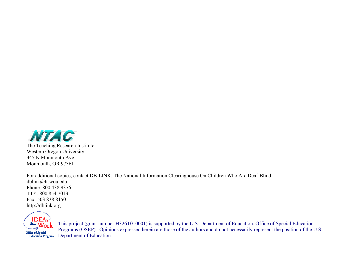

For additional copies, contact DB-LINK, The National Information Clearinghouse On Children Who Are Deaf-Blind dblink@tr.wou.edu. Phone: 800.438.9376 TTY: 800.854.7013 Fax: 503.838.8150 http://dblink.org



This project (grant number H326T010001) is supported by the U.S. Department of Education, Office of Special Education Programs (OSEP). Opinions expressed herein are those of the authors and do not necessarily represent the position of the U.S. Department of Education.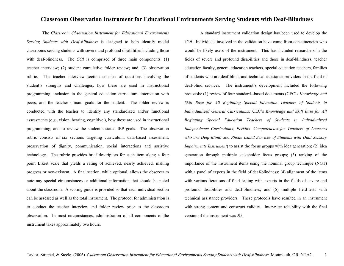The *Classroom Observation Instrument for Educational Environments Serving Students with Deaf-Blindness* is designed to help identify model classrooms serving students with severe and profound disabilities including those with deaf-blindness. The *COI* is comprised of three main components: (1) teacher interview; (2) student cumulative folder review; and, (3) observation rubric. The teacher interview section consists of questions involving the student's strengths and challenges, how these are used in instructional programming, inclusion in the general education curriculum, interaction with peers, and the teacher's main goals for the student. The folder review is conducted with the teacher to identify any standardized and/or functional assessments (e.g., vision, hearing, cognitive.), how these are used in instructional programming, and to review the student's stated IEP goals. The observation rubric consists of six sections targeting curriculum, data-based assessment, preservation of dignity, communication, social interactions and assistive technology. The rubric provides brief descriptors for each item along a four point Likert scale that yields a rating of achieved, nearly achieved, making progress or non-existent. A final section, while optional, allows the observer to note any special circumstances or additional information that should be noted about the classroom. A scoring guide is provided so that each individual section can be assessed as well as the total instrument. The protocol for administration is to conduct the teacher interview and folder review prior to the classroom observation. In most circumstances, administration of all components of the instrument takes approximately two hours.

 A standard instrument validation design has been used to develop the *COI*. Individuals involved in the validation have come from constituencies who would be likely users of the instrument. This has included researchers in the fields of severe and profound disabilities and those in deaf-blindness, teacher education faculty, general education teachers, special education teachers, families of students who are deaf-blind, and technical assistance providers in the field of deaf-blind services. The instrument's development included the following protocols: (1) review of four standards-based documents (CEC's *Knowledge and Skill Base for All Beginning Special Education Teachers of Students in Individualized General Curriculums;* CEC's *Knowledge and Skill Base for All Beginning Special Education Teachers of Students in Individualized Independence Curriculums; Perkins' Competencies for Teachers of Learners who are Deaf-Blind;* and *Rhode Island Services of Students with Dual Sensory Impairments Instrument*) to assist the focus groups with idea generation; (2) idea generation through multiple stakeholder focus groups; (3) ranking of the importance of the instrument items using the nominal group technique (NGT) with a panel of experts in the field of deaf-blindness; (4) alignment of the items with various iterations of field testing with experts in the fields of severe and profound disabilities and deaf-blindness; and (5) multiple field-tests with technical assistance providers. These protocols have resulted in an instrument with strong content and construct validity. Inter-rater reliability with the final version of the instrument was .95.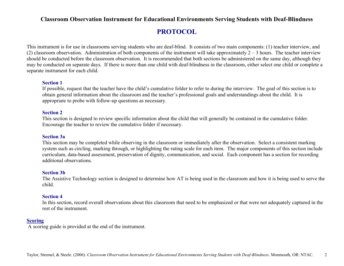# **PROTOCOL**

This instrument is for use in classrooms serving students who are deaf-blind. It consists of two main components: (1) teacher interview, and (2) classroom observation. Administration of both components of the instrument will take approximately  $2 - 3$  hours. The teacher interview should be conducted before the classroom observation. It is recommended that both sections be administered on the same day, although they may be conducted on separate days. If there is more than one child with deaf-blindness in the classroom, either select one child or complete a separate instrument for each child.

#### **Section 1**

If possible, request that the teacher have the child's cumulative folder to refer to during the interview. The goal of this section is to obtain general information about the classroom and the teacher's professional goals and understandings about the child. It is appropriate to probe with follow-up questions as necessary.

#### **Section 2**

This section is designed to review specific information about the child that will generally be contained in the cumulative folder. Encourage the teacher to review the cumulative folder if necessary.

#### **Section 3a**

This section may be completed while observing in the classroom or immediately after the observation. Select a consistent marking system such as circling, marking through, or highlighting the rating scale for each item. The major components of this section include curriculum, data-based assessment, preservation of dignity, communication, and social. Each component has a section for recording additional observations.

#### **Section 3b**

The Assistive Technology section is designed to determine how AT is being used in the classroom and how it is being used to serve the child.

#### **Section 4**

In this section, record overall observations about this classroom that need to be emphasized or that were not adequately captured in the rest of the instrument.

#### **Scoring**

A scoring guide is provided at the end of the instrument.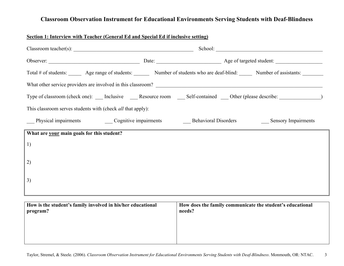| <b>Section 1: Interview with Teacher (General Ed and Special Ed if inclusive setting)</b>                                               |                                                                     |
|-----------------------------------------------------------------------------------------------------------------------------------------|---------------------------------------------------------------------|
| $\text{Classroom teacher(s):}$                                                                                                          |                                                                     |
|                                                                                                                                         |                                                                     |
| Total # of students: _______ Age range of students: _______ Number of students who are deaf-blind: ______ Number of assistants: _______ |                                                                     |
|                                                                                                                                         |                                                                     |
| Type of classroom (check one): ___ Inclusive ____ Resource room ____ Self-contained ___ Other (please describe: _____________           |                                                                     |
| This classroom serves students with (check <i>all</i> that apply):                                                                      |                                                                     |
|                                                                                                                                         |                                                                     |
| What are your main goals for this student?                                                                                              |                                                                     |
| 1)                                                                                                                                      |                                                                     |
|                                                                                                                                         |                                                                     |
| 2)                                                                                                                                      |                                                                     |
| 3)                                                                                                                                      |                                                                     |
|                                                                                                                                         |                                                                     |
| How is the student's family involved in his/her educational<br>program?                                                                 | How does the family communicate the student's educational<br>needs? |
|                                                                                                                                         |                                                                     |
|                                                                                                                                         |                                                                     |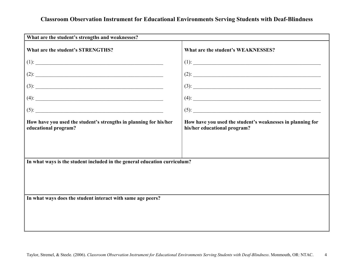| What are the student's strengths and weaknesses?                                          |                                                                                            |
|-------------------------------------------------------------------------------------------|--------------------------------------------------------------------------------------------|
| What are the student's STRENGTHS?                                                         | What are the student's WEAKNESSES?                                                         |
|                                                                                           |                                                                                            |
| $(2)$ :                                                                                   | $(2)$ :                                                                                    |
| $(3)$ :                                                                                   | $(3)$ :                                                                                    |
|                                                                                           | $(4) : \underline{\hspace{2cm}}$                                                           |
| $(5)$ :                                                                                   | $(5)$ :                                                                                    |
| How have you used the student's strengths in planning for his/her<br>educational program? | How have you used the student's weaknesses in planning for<br>his/her educational program? |
|                                                                                           |                                                                                            |
|                                                                                           |                                                                                            |
| In what ways is the student included in the general education curriculum?                 |                                                                                            |
|                                                                                           |                                                                                            |
|                                                                                           |                                                                                            |
| In what ways does the student interact with same age peers?                               |                                                                                            |
|                                                                                           |                                                                                            |
|                                                                                           |                                                                                            |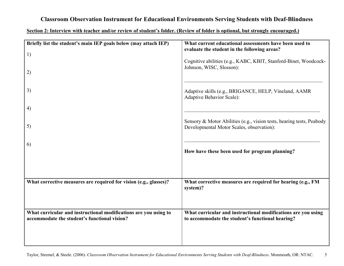|  | Section 2: Interview with teacher and/or review of student's folder. (Review of folder is optional, but strongly encouraged.) |  |  |  |  |
|--|-------------------------------------------------------------------------------------------------------------------------------|--|--|--|--|
|--|-------------------------------------------------------------------------------------------------------------------------------|--|--|--|--|

| Briefly list the student's main IEP goals below (may attach IEP)                                                 | What current educational assessments have been used to<br>evaluate the student in the following areas?             |
|------------------------------------------------------------------------------------------------------------------|--------------------------------------------------------------------------------------------------------------------|
| 1)<br>2)                                                                                                         | Cognitive abilities (e.g., KABC, KBIT, Stanford-Binet, Woodcock-<br>Johnson, WISC, Slosson):                       |
| 3)                                                                                                               | Adaptive skills (e.g., BRIGANCE, HELP, Vineland, AAMR<br>Adaptive Behavior Scale):                                 |
| 4)                                                                                                               |                                                                                                                    |
| 5)                                                                                                               | Sensory & Motor Abilities (e.g., vision tests, hearing tests, Peabody<br>Developmental Motor Scales, observation): |
| 6)                                                                                                               | How have these been used for program planning?                                                                     |
|                                                                                                                  |                                                                                                                    |
| What corrective measures are required for vision (e.g., glasses)?                                                | What corrective measures are required for hearing (e.g., FM<br>system)?                                            |
| What curricular and instructional modifications are you using to<br>accommodate the student's functional vision? | What curricular and instructional modifications are you using<br>to accommodate the student's functional hearing?  |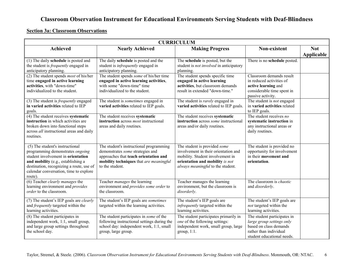#### **Section 3a: Classroom Observations**

|                                                                                                                                                                                                                                                  | <b>CURRICULUM</b>                                                                                                                                                                  |                                                                                                                                                                                  |                                                                                                                                            |                                 |  |
|--------------------------------------------------------------------------------------------------------------------------------------------------------------------------------------------------------------------------------------------------|------------------------------------------------------------------------------------------------------------------------------------------------------------------------------------|----------------------------------------------------------------------------------------------------------------------------------------------------------------------------------|--------------------------------------------------------------------------------------------------------------------------------------------|---------------------------------|--|
| <b>Achieved</b>                                                                                                                                                                                                                                  | <b>Nearly Achieved</b>                                                                                                                                                             | <b>Making Progress</b>                                                                                                                                                           | Non-existent                                                                                                                               | <b>Not</b><br><b>Applicable</b> |  |
| (1) The daily schedule is posted and<br>the student is <i>frequently</i> engaged in<br>anticipatory planning.                                                                                                                                    | The daily schedule is posted and the<br>student is <i>infrequently</i> engaged in<br>anticipatory planning.                                                                        | The schedule is posted, but the<br>student is <i>not involved</i> in anticipatory<br>planning.                                                                                   | There is no schedule posted.                                                                                                               |                                 |  |
| (2) The student spends <i>most</i> of his/her<br>time engaged in active learning<br>activities, with "down-time"<br>individualized to the student.                                                                                               | The student spends some of his/her time<br>engaged in active learning activities,<br>with some "down-time" time<br>individualized to the student.                                  | The student spends specific time<br>engaged in active learning<br>activities, but classroom demands<br>result in extended "down-time."                                           | Classroom demands result<br>in reduced activities of<br>active learning and<br>considerable time spent in<br>passive activity.             |                                 |  |
| (3) The student is <i>frequently</i> engaged<br>in varied activities related to IEP<br>goals.                                                                                                                                                    | The student is <i>sometimes</i> engaged in<br>varied activities related to IEP goals.                                                                                              | The student is <i>rarely</i> engaged in<br>varied activities related to IEP goals.                                                                                               | The student is <i>not</i> engaged<br>in varied activities related<br>to IEP goals.                                                         |                                 |  |
| (4) The student receives systematic<br>instruction in which activities are<br>broken down into functional steps<br>across all instructional areas and daily<br>routines.                                                                         | The student receives systematic<br>instruction across <i>most</i> instructional<br>areas and daily routines.                                                                       | The student receives systematic<br>instruction across some instructional<br>areas and/or daily routines.                                                                         | The student receives no<br>systematic instruction in<br>any instructional areas or<br>daily routines.                                      |                                 |  |
| (5) The student's instructional<br>programming demonstrates ongoing<br>student involvement in orientation<br>and mobility (e.g., establishing a<br>destination, recognizing a route, use of<br>calendar conversation, time to explore<br>route). | The student's instructional programming<br>demonstrates some strategies and<br>approaches that teach orientation and<br>mobility techniques that are meaningful<br>to the student. | The student is provided some<br>involvement in their orientation and<br>mobility. Student involvement in<br>orientation and mobility is not<br>always meaningful to the student. | The student is provided no<br>opportunity for involvement<br>in their movement and<br>orientation.                                         |                                 |  |
| (6) Teacher <i>clearly manages</i> the<br>learning environment and <i>provides</i><br>order to the classroom.                                                                                                                                    | Teacher <i>manages</i> the learning<br>environment and provides some order to<br>the classroom.                                                                                    | Teacher manages the learning<br>environment, but the classroom is<br>disorderly.                                                                                                 | The classroom is <i>chaotic</i><br>and disorderly.                                                                                         |                                 |  |
| (7) The student's IEP goals are <i>clearly</i><br>and <i>frequently</i> targeted within the<br>learning activities.                                                                                                                              | The student's IEP goals are sometimes<br>targeted within the learning activities.                                                                                                  | The student's IEP goals are<br><i>infrequently</i> targeted within the<br>learning activities.                                                                                   | The student's IEP goals are<br>not targeted within the<br>learning activities.                                                             |                                 |  |
| (8) The student participates in<br>independent work, 1:1, small group,<br>and large group settings throughout<br>the school day.                                                                                                                 | The student participates in some of the<br>following instructional settings during the<br>school day: independent work, 1:1, small<br>group, large group.                          | The student participates primarily in<br>one of the following settings:<br>independent work, small group, large<br>group, 1:1.                                                   | The student participates in<br>large group settings only<br>based on class demands<br>rather than individual<br>student educational needs. |                                 |  |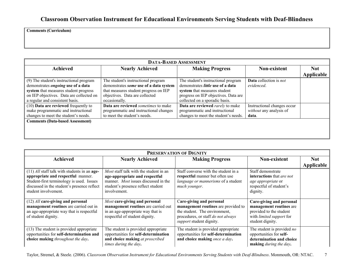**Comments (Curriculum)** 

| <b>DATA-BASED ASSESSMENT</b>                                                                                                                                                                                 |                                                                                                                                                                           |                                                                                                                                                                                           |                                                                 |            |
|--------------------------------------------------------------------------------------------------------------------------------------------------------------------------------------------------------------|---------------------------------------------------------------------------------------------------------------------------------------------------------------------------|-------------------------------------------------------------------------------------------------------------------------------------------------------------------------------------------|-----------------------------------------------------------------|------------|
| <b>Achieved</b>                                                                                                                                                                                              | <b>Nearly Achieved</b>                                                                                                                                                    | <b>Making Progress</b>                                                                                                                                                                    | Non-existent                                                    | <b>Not</b> |
|                                                                                                                                                                                                              |                                                                                                                                                                           |                                                                                                                                                                                           |                                                                 | Applicable |
| (9) The student's instructional program<br>demonstrates <i>ongoing</i> use of a data<br>system that measures student progress<br>on IEP objectives. Data are collected on<br>a regular and consistent basis. | The student's instructional program<br>demonstrates some use of a data system<br>that measures student progress on IEP<br>objectives. Data are collected<br>occasionally. | The student's instructional program<br>demonstrates <i>little</i> use of a data<br>system that measures student<br>progress on IEP objectives. Data are<br>collected on a sporadic basis. | <b>Data</b> collection is not<br>evidenced.                     |            |
| $(10)$ Data are reviewed frequently to<br>make programmatic and instructional<br>changes to meet the student's needs.                                                                                        | Data are reviewed sometimes to make<br>programmatic and instructional changes<br>to meet the student's needs.                                                             | Data are reviewed rarely to make<br>programmatic and instructional<br>changes to meet the student's needs.                                                                                | Instructional changes occur<br>without any analysis of<br>data. |            |
| <b>Comments (Data-based Assessment)</b>                                                                                                                                                                      |                                                                                                                                                                           |                                                                                                                                                                                           |                                                                 |            |

| <b>PRESERVATION OF DIGNITY</b>                                                                                                                                                                                         |                                                                                                                                                                               |                                                                                                                                                                    |                                                                                                                                |                          |
|------------------------------------------------------------------------------------------------------------------------------------------------------------------------------------------------------------------------|-------------------------------------------------------------------------------------------------------------------------------------------------------------------------------|--------------------------------------------------------------------------------------------------------------------------------------------------------------------|--------------------------------------------------------------------------------------------------------------------------------|--------------------------|
| <b>Achieved</b>                                                                                                                                                                                                        | <b>Nearly Achieved</b>                                                                                                                                                        | <b>Making Progress</b>                                                                                                                                             | Non-existent                                                                                                                   | <b>Not</b><br>Applicable |
| $(11)$ <i>All</i> staff talk with students in an <b>age-</b><br>appropriate and respectful manner.<br>Student-first terminology is used. Issues<br>discussed in the student's presence reflect<br>student involvement. | Most staff talk with the student in an<br>age-appropriate and respectful<br>manner. <i>Most</i> issues discussed in the<br>student's presence reflect student<br>involvement. | Staff converse with the student in a<br>respectful manner but often use<br>language or mannerisms of a student<br>much younger.                                    | Staff demonstrate<br><b>interactions</b> that <i>are not</i><br>age appropriate or<br>respectful of student's<br>dignity.      |                          |
| $(12)$ <i>All</i> care-giving and personal<br>management routines are carried out in<br>an age-appropriate way that is respectful<br>of student dignity.                                                               | Most care-giving and personal<br>management routines are carried out<br>in an age-appropriate way that is<br>respectful of student dignity.                                   | Care-giving and personal<br>management routines are provided to<br>the student. The environment,<br>procedures, or staff do not always<br>support student dignity. | Care-giving and personal<br>management routines are<br>provided to the student<br>with limited support for<br>student dignity. |                          |
| (13) The student is provided appropriate<br>opportunities for self-determination and<br>choice making throughout the day.                                                                                              | The student is provided appropriate<br>opportunities for self-determination<br>and choice making at proscribed<br>times during the day.                                       | The student is provided appropriate<br>opportunities for self-determination<br>and choice making once a day.                                                       | The student is provided no<br>opportunities for self-<br>determination and choice<br>making during the day.                    |                          |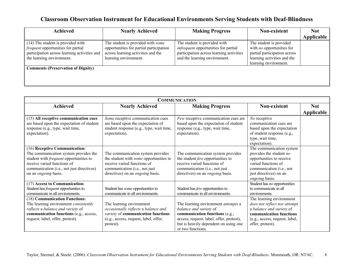| Achieved                                                                                                                                                    | <b>Nearly Achieved</b>                                                                                                                      | <b>Making Progress</b>                                                                                                                                   | Non-existent                                                                                                                                        | <b>Not</b> |
|-------------------------------------------------------------------------------------------------------------------------------------------------------------|---------------------------------------------------------------------------------------------------------------------------------------------|----------------------------------------------------------------------------------------------------------------------------------------------------------|-----------------------------------------------------------------------------------------------------------------------------------------------------|------------|
|                                                                                                                                                             |                                                                                                                                             |                                                                                                                                                          |                                                                                                                                                     | Applicable |
| (14) The student is provided with<br><i>frequent</i> opportunities for partial<br>participation across learning activities and<br>the learning environment. | The student is provided with some<br>opportunities for partial participation<br>across learning activities and the<br>learning environment. | The student is provided with<br><i>infrequent</i> opportunities for partial<br>participation across learning activities<br>and the learning environment. | The student is provided<br>with <i>no</i> opportunities for<br>partial participation across<br>learning activities and the<br>learning environment. |            |
| <b>Comments (Preservation of Dignity)</b>                                                                                                                   |                                                                                                                                             |                                                                                                                                                          |                                                                                                                                                     |            |

| <b>COMMUNICATION</b>                                                                                                                                                                                                        |                                                                                                                                                                                               |                                                                                                                                                                                                                  |                                                                                                                                                                                |                          |
|-----------------------------------------------------------------------------------------------------------------------------------------------------------------------------------------------------------------------------|-----------------------------------------------------------------------------------------------------------------------------------------------------------------------------------------------|------------------------------------------------------------------------------------------------------------------------------------------------------------------------------------------------------------------|--------------------------------------------------------------------------------------------------------------------------------------------------------------------------------|--------------------------|
| <b>Achieved</b>                                                                                                                                                                                                             | <b>Nearly Achieved</b>                                                                                                                                                                        | <b>Making Progress</b>                                                                                                                                                                                           | Non-existent                                                                                                                                                                   | <b>Not</b><br>Applicable |
| (15) All receptive communication cues<br>are based upon the expectation of student<br>response (e.g., type, wait time,<br>expectation).                                                                                     | Some receptive communication cues<br>are based upon the expectation of<br>student response (e.g., type, wait time,<br>expectation).                                                           | Few receptive communication cues are<br>based upon the expectation of student<br>response (e.g., type, wait time,<br>expectation).                                                                               | No receptive<br>communication cues are<br>based upon the expectation<br>of student response (e.g.,<br>type, wait time,<br>expectation).                                        |                          |
| (16) Receptive Communication:<br>The communication system provides the<br>student with <i>frequent</i> opportunities to<br>receive varied functions of<br>communication (i.e., not just directives)<br>on an ongoing basis. | The communication system provides<br>the student with <i>some</i> opportunities to<br>receive varied functions of<br>communication (i.e., not just<br>directives) on an <i>ongoing</i> basis. | The communication system provides<br>the student few opportunities to<br>receive varied functions of<br>communication (i.e., not just<br>directives) on an ongoing basis.                                        | The communication system<br>provides the student no<br>opportunities to receive<br>varied functions of<br>communication (i.e., not<br>just directives) on an<br>ongoing basis. |                          |
| (17) Access to Communication:<br>Student has <i>frequent</i> opportunities to<br>communicate in all environments.                                                                                                           | Student has some opportunities to<br>communicate in all environments.                                                                                                                         | Student has few opportunities to<br>communicate in all environments.                                                                                                                                             | Student has no opportunities<br>to communicate in all<br>environments.                                                                                                         |                          |
| (18) Communication Functions:<br>The learning environment consistently<br>reflects a balance and variety of<br>communication functions (e.g., access,<br>request, label, offer, protest).                                   | The learning environment<br>occasionally reflects a balance and<br>variety of communication functions<br>(e.g., access, request, label, offer,<br>protest).                                   | The learning environment <i>attempts</i> a<br>balance and variety of<br>communication functions (e.g.,<br>access, request, label, offer, protest),<br>but is heavily dependent on using one<br>or two functions. | The learning environment<br>does not reflect nor attempt<br>a balance and variety of<br>communication functions<br>(e.g., access, request, label,<br>offer, protest).          |                          |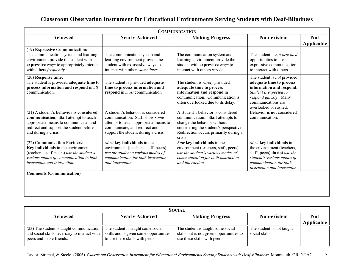| <b>COMMUNICATION</b>                                                                                                                                                                            |                                                                                                                                                                                        |                                                                                                                                                                                                     |                                                                                                                                                                                              |                          |
|-------------------------------------------------------------------------------------------------------------------------------------------------------------------------------------------------|----------------------------------------------------------------------------------------------------------------------------------------------------------------------------------------|-----------------------------------------------------------------------------------------------------------------------------------------------------------------------------------------------------|----------------------------------------------------------------------------------------------------------------------------------------------------------------------------------------------|--------------------------|
| <b>Achieved</b>                                                                                                                                                                                 | <b>Nearly Achieved</b>                                                                                                                                                                 | <b>Making Progress</b>                                                                                                                                                                              | Non-existent                                                                                                                                                                                 | <b>Not</b><br>Applicable |
| (19) Expressive Communication:<br>The communication system and learning<br>environment provide the student with<br>expressive ways to appropriately interact<br>with others <i>frequently</i> . | The communication system and<br>learning environment provide the<br>student with expressive ways to<br>interact with others sometimes.                                                 | The communication system and<br>learning environment provide the<br>student with expressive ways to<br>interact with others rarely.                                                                 | The student is not provided<br>opportunities to use<br>expressive communication<br>to interact with others.                                                                                  |                          |
| (20) Response time:<br>The student is provided adequate time to<br>process information and respond in all<br>communication.                                                                     | The student is provided adequate<br>time to process information and<br>respond in <i>most</i> communication.                                                                           | The student is rarely provided<br>adequate time to process<br>information and respond in<br>communication. Communication is<br>often overlooked due to its delay.                                   | The student is <i>not</i> provided<br>adequate time to process<br>information and respond.<br>Student is expected to<br>respond quickly. Many<br>communications are<br>overlooked or rushed. |                          |
| (21) A student's behavior is considered<br>communication. Staff attempt to teach<br>appropriate means to communicate, and<br>redirect and support the student before<br>and during a crisis.    | A student's behavior is considered<br>communication. Staff show some<br>attempt to teach appropriate means to<br>communicate, and redirect and<br>support the student during a crisis. | A student's behavior is considered<br>communication. Staff attempts to<br>change the behavior without<br>considering the student's perspective.<br>Redirection occurs primarily during a<br>crisis. | Behavior is not considered<br>communication.                                                                                                                                                 |                          |
| (22) Communication Partners:<br>Key individuals in the environment<br>(teachers, staff, peers) use the student's<br>various modes of communication in both<br>instruction and interaction.      | Most key individuals in the<br>environment (teachers, staff, peers)<br>use the student's various modes of<br>communication for both instruction<br>and interaction.                    | Few key individuals in the<br>environment (teachers, staff, peers)<br>use the student's various modes of<br>communication for both instruction<br>and interaction.                                  | Most key individuals in<br>the environment (teachers,<br>staff, peers) do not use the<br>student's various modes of<br>communication for both<br>instruction and interaction.                |                          |
| <b>Comments (Communication)</b>                                                                                                                                                                 |                                                                                                                                                                                        |                                                                                                                                                                                                     |                                                                                                                                                                                              |                          |

| <b>SOCIAL</b>                                                                                                       |                                                                                                                |                                                                                                               |                                             |            |
|---------------------------------------------------------------------------------------------------------------------|----------------------------------------------------------------------------------------------------------------|---------------------------------------------------------------------------------------------------------------|---------------------------------------------|------------|
| Achieved                                                                                                            | <b>Nearly Achieved</b>                                                                                         | <b>Making Progress</b>                                                                                        | Non-existent                                | <b>Not</b> |
|                                                                                                                     |                                                                                                                |                                                                                                               |                                             | Applicable |
| (23) The student is taught communication<br>and social skills necessary to interact with<br>peers and make friends. | The student is taught some social<br>skills and is given some opportunities<br>to use these skills with peers. | The student is taught some social<br>skills but is not given opportunities to<br>use these skills with peers. | The student is not taught<br>social skills. |            |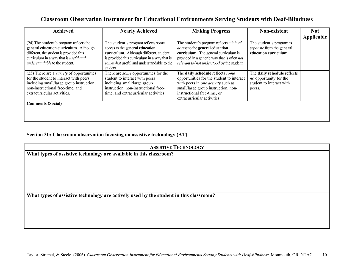| Achieved                                                                                                                                                                                                  | <b>Nearly Achieved</b>                                                                                                                                                                                                     | <b>Making Progress</b>                                                                                                                                                                                                               | Non-existent                                                                                       | <b>Not</b><br>Applicable |
|-----------------------------------------------------------------------------------------------------------------------------------------------------------------------------------------------------------|----------------------------------------------------------------------------------------------------------------------------------------------------------------------------------------------------------------------------|--------------------------------------------------------------------------------------------------------------------------------------------------------------------------------------------------------------------------------------|----------------------------------------------------------------------------------------------------|--------------------------|
| (24) The student's program reflects the<br>general education curriculum. Although<br>different, the student is provided this<br>curriculum in a way that is useful and<br>understandable to the student.  | The student's program reflects some<br>access to the general education<br>curriculum. Although different, student<br>is provided this curriculum in a way that is<br>somewhat useful and understandable to the<br>student. | The student's program reflects <i>minimal</i><br><i>access</i> to the general education<br>curriculum. The general curriculum is<br>provided in a generic way that is often <i>not</i><br>relevant to/not understood by the student. | The student's program is<br>separate from the general<br>education curriculum.                     |                          |
| (25) There are a <i>variety</i> of opportunities<br>for the student to interact with peers<br>including small/large group instruction,<br>non-instructional free-time, and<br>extracurricular activities. | There are <i>some</i> opportunities for the<br>student to interact with peers<br>including small/large group<br>instruction, non-instructional free-<br>time, and extracurricular activities.                              | The daily schedule reflects some<br>opportunities for the student to interact<br>with peers in <i>one activity</i> such as<br>small/large group instruction, non-<br>instructional free-time, or<br>extracurricular activities.      | The daily schedule reflects<br><i>no</i> opportunity for the<br>student to interact with<br>peers. |                          |
| <b>Comments (Social)</b>                                                                                                                                                                                  |                                                                                                                                                                                                                            |                                                                                                                                                                                                                                      |                                                                                                    |                          |

#### **Section 3b: Classroom observation focusing on assistive technology (AT)**

**ASSISTIVE TECHNOLOGY**

**What types of assistive technology are available in this classroom?** 

**What types of assistive technology are actively used by the student in this classroom?**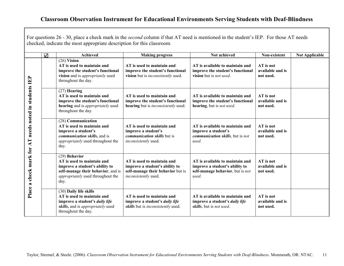| For questions 26 - 30, place a check mark in the <i>second</i> column if that AT need is mentioned in the student's IEP. For those AT needs<br>checked, indicate the most appropriate description for this classroom. |   |                                                                                                                                                                  |                                                                                                                           |                                                                                                                |                                            |                       |
|-----------------------------------------------------------------------------------------------------------------------------------------------------------------------------------------------------------------------|---|------------------------------------------------------------------------------------------------------------------------------------------------------------------|---------------------------------------------------------------------------------------------------------------------------|----------------------------------------------------------------------------------------------------------------|--------------------------------------------|-----------------------|
|                                                                                                                                                                                                                       | ✓ | <b>Achieved</b>                                                                                                                                                  | <b>Making progress</b>                                                                                                    | Not achieved                                                                                                   | Non-existent                               | <b>Not Applicable</b> |
| Place a check mark for AT needs noted in students IEP                                                                                                                                                                 |   | $(26)$ Vision<br>AT is used to maintain and<br>improve the student's functional<br>vision and is <i>appropriately</i> used<br>throughout the day.                | AT is used to maintain and<br>improve the student's functional<br>vision but is <i>inconsistently</i> used.               | AT is available to maintain and<br>improve the student's functional<br>vision but is not used.                 | AT is not<br>available and is<br>not used. |                       |
|                                                                                                                                                                                                                       |   | $(27)$ Hearing<br>AT is used to maintain and<br>improve the student's functional<br>hearing and is <i>appropriately</i> used<br>throughout the day.              | AT is used to maintain and<br>improve the student's functional<br>hearing but is <i>inconsistently</i> used.              | AT is available to maintain and<br>improve the student's functional<br>hearing, but is not used.               | AT is not<br>available and is<br>not used. |                       |
|                                                                                                                                                                                                                       |   | (28) Communication<br>AT is used to maintain and<br>improve a student's<br>communication skills, and is<br>appropriately used throughout the<br>day.             | AT is used to maintain and<br>improve a student's<br><i>communication skills but is</i><br>inconsistently used.           | AT is available to maintain and<br>improve a student's<br>communication skills, but is not<br>used.            | AT is not<br>available and is<br>not used. |                       |
|                                                                                                                                                                                                                       |   | (29) Behavior<br>AT is used to maintain and<br>improve a student's ability to<br>self-manage their behavior, and is<br>appropriately used throughout the<br>day. | AT is used to maintain and<br>improve a student's ability to<br>self-manage their behavior but is<br>inconsistently used. | AT is available to maintain and<br>improve a student's ability to<br>self-manage behavior, but is not<br>used. | AT is not<br>available and is<br>not used. |                       |
|                                                                                                                                                                                                                       |   | (30) Daily life skills<br>AT is used to maintain and<br>improve a student's <i>daily life</i><br>skills, and is <i>appropriately</i> used<br>throughout the day. | AT is used to maintain and<br>improve a student's daily life<br>skills but is inconsistently used.                        | AT is available to maintain and<br>improve a student's daily life<br>skills, but is not used.                  | AT is not<br>available and is<br>not used. |                       |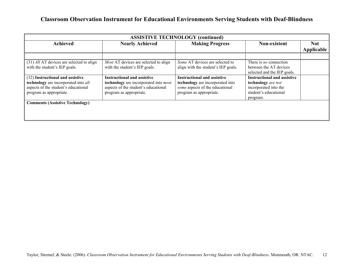| <b>ASSISTIVE TECHNOLOGY (continued)</b>                                                                                                     |                                                                                                                                                       |                                                                                                                                      |                                                                                                                        |                          |  |  |  |
|---------------------------------------------------------------------------------------------------------------------------------------------|-------------------------------------------------------------------------------------------------------------------------------------------------------|--------------------------------------------------------------------------------------------------------------------------------------|------------------------------------------------------------------------------------------------------------------------|--------------------------|--|--|--|
| Achieved                                                                                                                                    | <b>Nearly Achieved</b>                                                                                                                                | <b>Making Progress</b>                                                                                                               | Non-existent                                                                                                           | <b>Not</b><br>Applicable |  |  |  |
| $(31)$ <i>All</i> AT devices are selected to align<br>with the student's IEP goals.                                                         | Most AT devices are selected to align<br>with the student's IEP goals.                                                                                | Some AT devices are selected to<br>align with the student's IEP goals.                                                               | There is no connection<br>between the AT devices<br>selected and the IEP goals.                                        |                          |  |  |  |
| (32) Instructional and assistive<br>technology are incorporated into all<br>aspects of the student's educational<br>program as appropriate. | <b>Instructional and assistive</b><br>technology are incorporated into <i>most</i><br>aspects of the student's educational<br>program as appropriate. | <b>Instructional and assistive</b><br>technology are incorporated into<br>some aspects of the educational<br>program as appropriate. | <b>Instructional and assistive</b><br>technology are not<br>incorporated into the<br>student's educational<br>program. |                          |  |  |  |
| <b>Comments (Assistive Technology)</b>                                                                                                      |                                                                                                                                                       |                                                                                                                                      |                                                                                                                        |                          |  |  |  |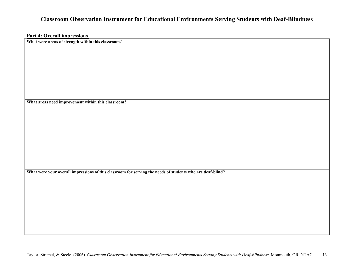**Part 4: Overall impressions** 

**What were areas of strength within this classroom?** 

**What areas need improvement within this classroom?** 

**What were your overall impressions of this classroom for serving the needs of students who are deaf-blind?**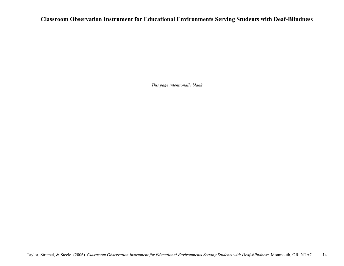*This page intentionally blank*